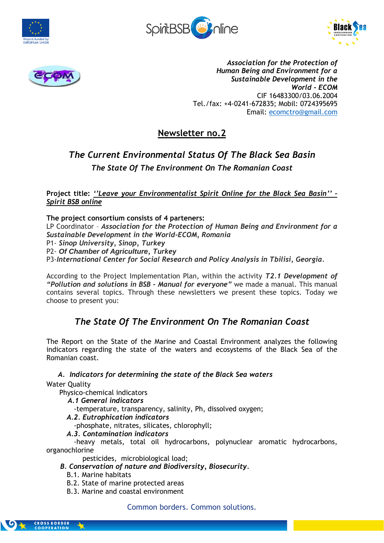







*Association for the Protection of Human Being and Environment for a Sustainable Development in the World - ECOM* CIF 16483300/03.06.2004 Tel./fax: +4-0241-672835; Mobil: 0724395695 Email: [ecomctro@gmail.com](mailto:ecomctro@gmail.com)

# **Newsletter no.2**

# *The Current Environmental Status Of The Black Sea Basin The State Of The Environment On The Romanian Coast*

**Project title:** *''Leave your Environmentalist Spirit Online for the Black Sea Basin'' – Spirit BSB online*

## **The project consortium consists of 4 parteners:**

LP Coordinator – *Association for the Protection of Human Being and Environment for a Sustainable Development in the World-ECOM, Romania*

P1- *Sinop University, Sinop, Turkey*

P2- *Of Chamber of Agriculture, Turkey*

P3-*International Center for Social Research and Policy Analysis in Tbilisi, Georgia.*

According to the Project Implementation Plan, within the activity *T2.1 Development of "Pollution and solutions in BSB - Manual for everyone"* we made a manual. This manual contains several topics. Through these newsletters we present these topics. Today we choose to present you:

# *The State Of The Environment On The Romanian Coast*

The Report on the State of the Marine and Coastal Environment analyzes the following indicators regarding the state of the waters and ecosystems of the Black Sea of the Romanian coast.

## *A. Indicators for determining the state of the Black Sea waters*

Water Quality

Physico-chemical indicators

*A.1 General indicators*

-temperature, transparency, salinity, Ph, dissolved oxygen;

*A.2. Eutrophication indicators*

-phosphate, nitrates, silicates, chlorophyll;

*A.3. Contamination indicators*

-heavy metals, total oil hydrocarbons, polynuclear aromatic hydrocarbons, organochlorine

pesticides, microbiological load;

- *B. Conservation of nature and Biodiversity, Biosecurity.*
	- B.1. Marine habitats
	- B.2. State of marine protected areas
	- B.3. Marine and coastal environment

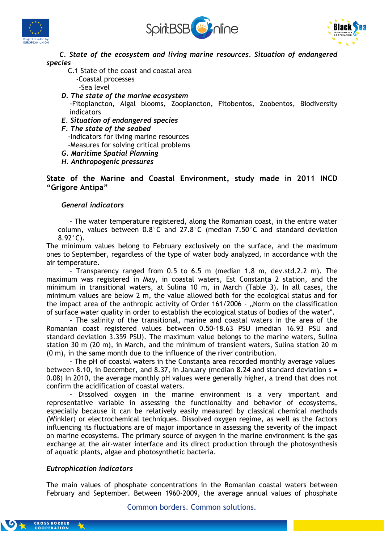





 *C. State of the ecosystem and living marine resources. Situation of endangered species*

- C.1 State of the coast and coastal area -Coastal processes
	- -Sea level
- *D. The state of the marine ecosystem* -Fitoplancton, Algal blooms, Zooplancton, Fitobentos, Zoobentos, Biodiversity indicators
- *E. Situation of endangered species*
- *F. The state of the seabed*
	- -Indicators for living marine resources
	- -Measures for solving critical problems
- *G. Maritime Spatial Planning*

 *H. Anthropogenic pressures*

**State of the Marine and Coastal Environment, study made in 2011 INCD "Grigore Antipa"**

#### *General indicators*

- The water temperature registered, along the Romanian coast, in the entire water column, values between 0.8°C and 27.8°C (median 7.50°C and standard deviation 8.92°C).

The minimum values belong to February exclusively on the surface, and the maximum ones to September, regardless of the type of water body analyzed, in accordance with the air temperature.

- Transparency ranged from 0.5 to 6.5 m (median 1.8 m, dev.std.2.2 m). The maximum was registered in May, in coastal waters, Est Constanţa 2 station, and the minimum in transitional waters, at Sulina 10 m, in March (Table 3). In all cases, the minimum values are below 2 m, the value allowed both for the ecological status and for the impact area of the anthropic activity of Order 161/2006 - "Norm on the classification of surface water quality in order to establish the ecological status of bodies of the water".

- The salinity of the transitional, marine and coastal waters in the area of the Romanian coast registered values between 0.50-18.63 PSU (median 16.93 PSU and standard deviation 3.359 PSU). The maximum value belongs to the marine waters, Sulina station 30 m (20 m), in March, and the minimum of transient waters, Sulina station 20 m (0 m), in the same month due to the influence of the river contribution.

- The pH of coastal waters in the Constanta area recorded monthly average values between 8.10, in December, and 8.37, in January (median 8.24 and standard deviation s = 0.08) In 2010, the average monthly pH values were generally higher, a trend that does not confirm the acidification of coastal waters.

Dissolved oxygen in the marine environment is a very important and representative variable in assessing the functionality and behavior of ecosystems, especially because it can be relatively easily measured by classical chemical methods (Winkler) or electrochemical techniques. Dissolved oxygen regime, as well as the factors influencing its fluctuations are of major importance in assessing the severity of the impact on marine ecosystems. The primary source of oxygen in the marine environment is the gas exchange at the air-water interface and its direct production through the photosynthesis of aquatic plants, algae and photosynthetic bacteria.

#### *Eutrophication indicators*

The main values of phosphate concentrations in the Romanian coastal waters between February and September. Between 1960-2009, the average annual values of phosphate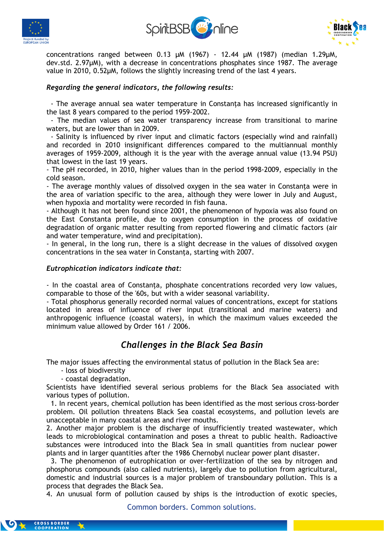





concentrations ranged between 0.13 µM (1967) - 12.44 µM (1987) (median 1.29µM, dev.std. 2.97µM), with a decrease in concentrations phosphates since 1987. The average value in 2010, 0.52µM, follows the slightly increasing trend of the last 4 years.

### *Regarding the general indicators, the following results:*

 - The average annual sea water temperature in Constanţa has increased significantly in the last 8 years compared to the period 1959-2002.

 - The median values of sea water transparency increase from transitional to marine waters, but are lower than in 2009.

 - Salinity is influenced by river input and climatic factors (especially wind and rainfall) and recorded in 2010 insignificant differences compared to the multiannual monthly averages of 1959-2009, although it is the year with the average annual value (13.94 PSU) that lowest in the last 19 years.

- The pH recorded, in 2010, higher values than in the period 1998-2009, especially in the cold season.

- The average monthly values of dissolved oxygen in the sea water in Constanţa were in the area of variation specific to the area, although they were lower in July and August, when hypoxia and mortality were recorded in fish fauna.

- Although it has not been found since 2001, the phenomenon of hypoxia was also found on the East Constanta profile, due to oxygen consumption in the process of oxidative degradation of organic matter resulting from reported flowering and climatic factors (air and water temperature, wind and precipitation).

- In general, in the long run, there is a slight decrease in the values of dissolved oxygen concentrations in the sea water in Constanţa, starting with 2007.

#### *Eutrophication indicators indicate that:*

- In the coastal area of Constanţa, phosphate concentrations recorded very low values, comparable to those of the '60s, but with a wider seasonal variability.

- Total phosphorus generally recorded normal values of concentrations, except for stations located in areas of influence of river input (transitional and marine waters) and anthropogenic influence (coastal waters), in which the maximum values exceeded the minimum value allowed by Order 161 / 2006.

# *Challenges in the Black Sea Basin*

The major issues affecting the environmental status of pollution in the Black Sea are:

- loss of biodiversity

- coastal degradation.

Scientists have identified several serious problems for the Black Sea associated with various types of pollution.

 1. In recent years, chemical pollution has been identified as the most serious cross-border problem. Oil pollution threatens Black Sea coastal ecosystems, and pollution levels are unacceptable in many coastal areas and river mouths.

2. Another major problem is the discharge of insufficiently treated wastewater, which leads to microbiological contamination and poses a threat to public health. Radioactive substances were introduced into the Black Sea in small quantities from nuclear power plants and in larger quantities after the 1986 Chernobyl nuclear power plant disaster.

 3. The phenomenon of eutrophication or over-fertilization of the sea by nitrogen and phosphorus compounds (also called nutrients), largely due to pollution from agricultural, domestic and industrial sources is a major problem of transboundary pollution. This is a process that degrades the Black Sea.

4. An unusual form of pollution caused by ships is the introduction of exotic species,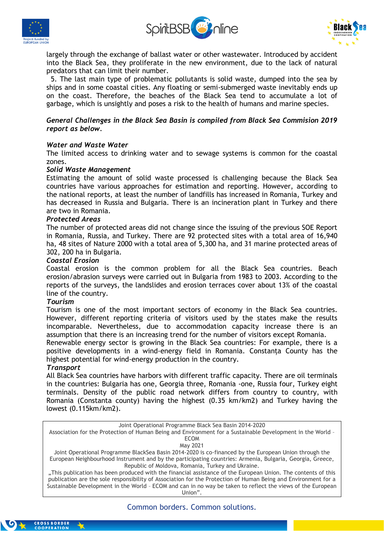





largely through the exchange of ballast water or other wastewater. Introduced by accident into the Black Sea, they proliferate in the new environment, due to the lack of natural predators that can limit their number.

 5. The last main type of problematic pollutants is solid waste, dumped into the sea by ships and in some coastal cities. Any floating or semi-submerged waste inevitably ends up on the coast. Therefore, the beaches of the Black Sea tend to accumulate a lot of garbage, which is unsightly and poses a risk to the health of humans and marine species.

#### *General Challenges in the Black Sea Basin is compiled from Black Sea Commision 2019 report as below.*

#### *Water and Waste Water*

The limited access to drinking water and to sewage systems is common for the coastal zones.

#### *Solid Waste Management*

Estimating the amount of solid waste processed is challenging because the Black Sea countries have various approaches for estimation and reporting. However, according to the national reports, at least the number of landfills has increased in Romania, Turkey and has decreased in Russia and Bulgaria. There is an incineration plant in Turkey and there are two in Romania.

#### *Protected Areas*

The number of protected areas did not change since the issuing of the previous SOE Report in Romania, Russia, and Turkey. There are 92 protected sites with a total area of 16,940 ha, 48 sites of Nature 2000 with a total area of 5,300 ha, and 31 marine protected areas of 302, 200 ha in Bulgaria.

#### *Coastal Erosion*

Coastal erosion is the common problem for all the Black Sea countries. Beach erosion/abrasion surveys were carried out in Bulgaria from 1983 to 2003. According to the reports of the surveys, the landslides and erosion terraces cover about 13% of the coastal line of the country.

#### *Tourism*

Tourism is one of the most important sectors of economy in the Black Sea countries. However, different reporting criteria of visitors used by the states make the results incomparable. Nevertheless, due to accommodation capacity increase there is an assumption that there is an increasing trend for the number of visitors except Romania.

Renewable energy sector is growing in the Black Sea countries: For example, there is a positive developments in a wind-energy field in Romania. Constanța County has the highest potential for wind-energy production in the country.

#### *Transport*

All Black Sea countries have harbors with different traffic capacity. There are oil terminals in the countries: Bulgaria has one, Georgia three, Romania -one, Russia four, Turkey eight terminals. Density of the public road network differs from country to country, with Romania (Constanta county) having the highest (0.35 km/km2) and Turkey having the lowest (0.115km/km2).

Joint Operational Programme Black Sea Basin 2014-2020

Association for the Protection of Human Being and Environment for a Sustainable Development in the World – ECOM

May 2021

Joint Operational Programme BlackSea Basin 2014-2020 is co-financed by the European Union through the European Neighbourhood Instrument and by the participating countries: Armenia, Bulgaria, Georgia, Greece, Republic of Moldova, Romania, Turkey and Ukraine.

"This publication has been produced with the financial assistance of the European Union. The contents of this publication are the sole responsibility of Association for the Protection of Human Being and Environment for a Sustainable Development in the World – ECOM and can in no way be taken to reflect the views of the European Union".